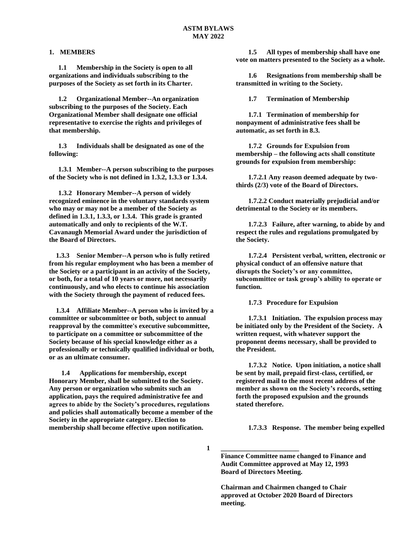#### **1. MEMBERS**

**1.1 Membership in the Society is open to all organizations and individuals subscribing to the purposes of the Society as set forth in its Charter.**

**1.2 Organizational Member--An organization subscribing to the purposes of the Society. Each Organizational Member shall designate one official representative to exercise the rights and privileges of that membership.**

**1.3 Individuals shall be designated as one of the following:**

**1.3.1 Member--A person subscribing to the purposes of the Society who is not defined in 1.3.2, 1.3.3 or 1.3.4.**

**1.3.2 Honorary Member--A person of widely recognized eminence in the voluntary standards system who may or may not be a member of the Society as defined in 1.3.1, 1.3.3, or 1.3.4. This grade is granted automatically and only to recipients of the W.T. Cavanaugh Memorial Award under the jurisdiction of the Board of Directors.** 

 **1.3.3 Senior Member--A person who is fully retired from his regular employment who has been a member of the Society or a participant in an activity of the Society, or both, for a total of 10 years or more, not necessarily continuously, and who elects to continue his association with the Society through the payment of reduced fees.**

 **1.3.4 Affiliate Member--A person who is invited by a committee or subcommittee or both, subject to annual reapproval by the committee's executive subcommittee, to participate on a committee or subcommittee of the Society because of his special knowledge either as a professionally or technically qualified individual or both, or as an ultimate consumer.**

**1.4 Applications for membership, except Honorary Member, shall be submitted to the Society. Any person or organization who submits such an application, pays the required administrative fee and agrees to abide by the Society's procedures, regulations and policies shall automatically become a member of the Society in the appropriate category. Election to membership shall become effective upon notification.**

**1.5 All types of membership shall have one vote on matters presented to the Society as a whole.**

**1.6 Resignations from membership shall be transmitted in writing to the Society.**

**1.7 Termination of Membership**

**1.7.1 Termination of membership for nonpayment of administrative fees shall be automatic, as set forth in 8.3.**

**1.7.2 Grounds for Expulsion from membership – the following acts shall constitute grounds for expulsion from membership:**

**1.7.2.1 Any reason deemed adequate by twothirds (2/3) vote of the Board of Directors.**

**1.7.2.2 Conduct materially prejudicial and/or detrimental to the Society or its members.**

**1.7.2.3 Failure, after warning, to abide by and respect the rules and regulations promulgated by the Society.**

**1.7.2.4 Persistent verbal, written, electronic or physical conduct of an offensive nature that disrupts the Society's or any committee, subcommittee or task group's ability to operate or function.**

**1.7.3 Procedure for Expulsion**

**1.7.3.1 Initiation. The expulsion process may be initiated only by the President of the Society. A written request, with whatever support the proponent deems necessary, shall be provided to the President.**

**1.7.3.2 Notice. Upon initiation, a notice shall be sent by mail, prepaid first-class, certified, or registered mail to the most recent address of the member as shown on the Society's records, setting forth the proposed expulsion and the grounds stated therefore.**

**1.7.3.3 Response. The member being expelled** 

**1**

**Finance Committee name changed to Finance and Audit Committee approved at May 12, 1993 Board of Directors Meeting.**

**\_\_\_\_\_\_\_\_\_\_\_\_\_\_\_\_\_\_\_\_\_\_\_**

**Chairman and Chairmen changed to Chair approved at October 2020 Board of Directors meeting.**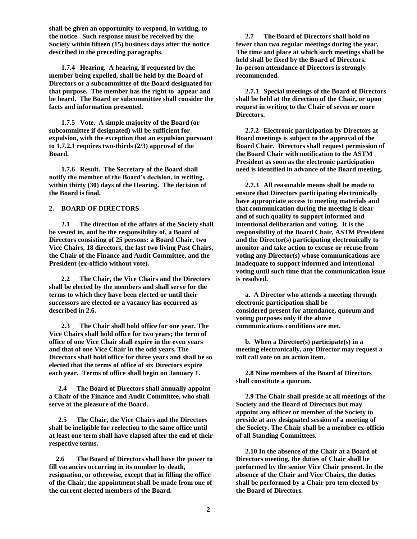**shall be given an opportunity to respond, in writing, to the notice. Such response must be received by the Society within fifteen (15) business days after the notice described in the preceding paragraphs.**

**1.7.4 Hearing. A hearing, if requested by the member being expelled, shall be held by the Board of Directors or a subcommittee of the Board designated for that purpose. The member has the right to appear and be heard. The Board or subcommittee shall consider the facts and information presented.**

**1.7.5 Vote. A simple majority of the Board (or subcommittee if designated) will be sufficient for expulsion, with the exception that an expulsion pursuant to 1.7.2.1 requires two-thirds (2/3) approval of the Board.**

**1.7.6 Result. The Secretary of the Board shall notify the member of the Board's decision, in writing, within thirty (30) days of the Hearing. The decision of the Board is final.**

#### **2. BOARD OF DIRECTORS**

**2.1 The direction of the affairs of the Society shall be vested in, and be the responsibility of, a Board of Directors consisting of 25 persons: a Board Chair, two Vice Chairs, 18 directors, the last two living Past Chairs, the Chair of the Finance and Audit Committee, and the President (ex-officio without vote).**

**2.2 The Chair, the Vice Chairs and the Directors shall be elected by the members and shall serve for the terms to which they have been elected or until their successors are elected or a vacancy has occurred as described in 2.6.** 

**2.3 The Chair shall hold office for one year. The Vice Chairs shall hold office for two years; the term of office of one Vice Chair shall expire in the even years and that of one Vice Chair in the odd years. The Directors shall hold office for three years and shall be so elected that the terms of office of six Directors expire each year. Terms of office shall begin on January 1.**

**2.4 The Board of Directors shall annually appoint a Chair of the Finance and Audit Committee, who shall serve at the pleasure of the Board.**

**2.5 The Chair, the Vice Chairs and the Directors shall be ineligible for reelection to the same office until at least one term shall have elapsed after the end of their respective terms.** 

 **2.6 The Board of Directors shall have the power to fill vacancies occurring in its number by death, resignation, or otherwise, except that in filling the office of the Chair, the appointment shall be made from one of the current elected members of the Board.**

**2.7 The Board of Directors shall hold no fewer than two regular meetings during the year. The time and place at which such meetings shall be held shall be fixed by the Board of Directors. In-person attendance of Directors is strongly recommended.**

**2.7.1 Special meetings of the Board of Directors shall be held at the direction of the Chair, or upon request in writing to the Chair of seven or more Directors.**

**2.7.2 Electronic participation by Directors at Board meetings is subject to the approval of the Board Chair. Directors shall request permission of the Board Chair with notification to the ASTM President as soon as the electronic participation need is identified in advance of the Board meeting.**

**2.7.3 All reasonable means shall be made to ensure that Directors participating electronically have appropriate access to meeting materials and that communication during the meeting is clear and of such quality to support informed and intentional deliberation and voting. It is the responsibility of the Board Chair, ASTM President and the Director(s) participating electronically to monitor and take action to excuse or recuse from voting any Director(s) whose communications are inadequate to support informed and intentional voting until such time that the communication issue is resolved.**

**a. A Director who attends a meeting through electronic participation shall be considered present for attendance, quorum and voting purposes only if the above communications conditions are met.**

**b. When a Director(s) participate(s) in a meeting electronically, any Director may request a roll call vote on an action item.**

**2.8 Nine members of the Board of Directors shall constitute a quorum.**

**2.9 The Chair shall preside at all meetings of the Society and the Board of Directors but may appoint any officer or member of the Society to preside at any designated session of a meeting of the Society. The Chair shall be a member ex-officio of all Standing Committees.**

**2.10 In the absence of the Chair at a Board of Directors meeting, the duties of Chair shall be performed by the senior Vice Chair present. In the absence of the Chair and Vice Chairs, the duties shall be performed by a Chair pro tem elected by the Board of Directors.**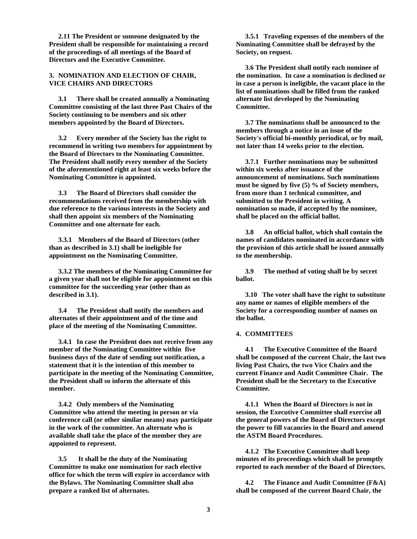**2.11 The President or someone designated by the President shall be responsible for maintaining a record of the proceedings of all meetings of the Board of Directors and the Executive Committee.**

## **3. NOMINATION AND ELECTION OF CHAIR, VICE CHAIRS AND DIRECTORS**

**3.1 There shall be created annually a Nominating Committee consisting of the last three Past Chairs of the Society continuing to be members and six other members appointed by the Board of Directors.**

**3.2 Every member of the Society has the right to recommend in writing two members for appointment by the Board of Directors to the Nominating Committee. The President shall notify every member of the Society of the aforementioned right at least six weeks before the Nominating Committee is appointed.**

**3.3 The Board of Directors shall consider the recommendations received from the membership with due reference to the various interests in the Society and shall then appoint six members of the Nominating Committee and one alternate for each.**

**3.3.1 Members of the Board of Directors (other than as described in 3.1) shall be ineligible for appointment on the Nominating Committee.** 

**3.3.2 The members of the Nominating Committee for a given year shall not be eligible for appointment on this committee for the succeeding year (other than as described in 3.1).**

**3.4 The President shall notify the members and alternates of their appointment and of the time and place of the meeting of the Nominating Committee.**

**3.4.1 In case the President does not receive from any member of the Nominating Committee within five business days of the date of sending out notification, a statement that it is the intention of this member to participate in the meeting of the Nominating Committee, the President shall so inform the alternate of this member.**

**3.4.2 Only members of the Nominating Committee who attend the meeting in person or via conference call (or other similar means) may participate in the work of the committee. An alternate who is available shall take the place of the member they are appointed to represent.**

**3.5 It shall be the duty of the Nominating Committee to make one nomination for each elective office for which the term will expire in accordance with the Bylaws. The Nominating Committee shall also prepare a ranked list of alternates.**

**3.5.1 Traveling expenses of the members of the Nominating Committee shall be defrayed by the Society, on request.**

**3.6 The President shall notify each nominee of the nomination. In case a nomination is declined or in case a person is ineligible, the vacant place in the list of nominations shall be filled from the ranked alternate list developed by the Nominating Committee.**

**3.7 The nominations shall be announced to the members through a notice in an issue of the Society's official bi-monthly periodical, or by mail, not later than 14 weeks prior to the election.**

**3.7.1 Further nominations may be submitted within six weeks after issuance of the announcement of nominations. Such nominations must be signed by five (5) % of Society members, from more than 1 technical committee, and submitted to the President in writing. A nomination so made, if accepted by the nominee, shall be placed on the official ballot.**

**3.8 An official ballot, which shall contain the names of candidates nominated in accordance with the provision of this article shall be issued annually to the membership.**

**3.9 The method of voting shall be by secret ballot.**

**3.10 The voter shall have the right to substitute any name or names of eligible members of the Society for a corresponding number of names on the ballot.**

# **4. COMMITTEES**

**4.1 The Executive Committee of the Board shall be composed of the current Chair, the last two living Past Chairs, the two Vice Chairs and the current Finance and Audit Committee Chair. The President shall be the Secretary to the Executive Committee.**

**4.1.1 When the Board of Directors is not in session, the Executive Committee shall exercise all the general powers of the Board of Directors except the power to fill vacancies in the Board and amend the ASTM Board Procedures.**

**4.1.2 The Executive Committee shall keep minutes of its proceedings which shall be promptly reported to each member of the Board of Directors.**

**4.2 The Finance and Audit Committee (F&A) shall be composed of the current Board Chair, the**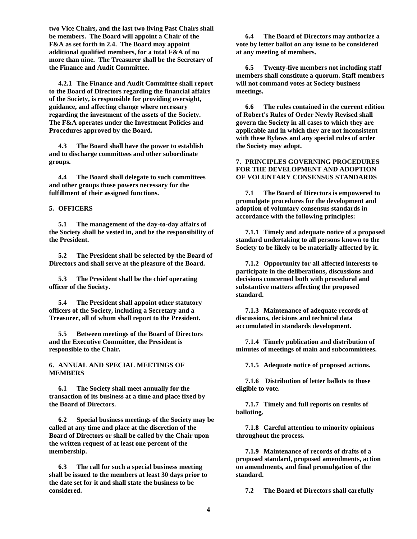**two Vice Chairs, and the last two living Past Chairs shall be members. The Board will appoint a Chair of the F&A as set forth in 2.4. The Board may appoint additional qualified members, for a total F&A of no more than nine. The Treasurer shall be the Secretary of the Finance and Audit Committee.**

**4.2.1 The Finance and Audit Committee shall report to the Board of Directors regarding the financial affairs of the Society, is responsible for providing oversight, guidance, and affecting change where necessary regarding the investment of the assets of the Society. The F&A operates under the Investment Policies and Procedures approved by the Board.**

**4.3 The Board shall have the power to establish and to discharge committees and other subordinate groups.**

**4.4 The Board shall delegate to such committees and other groups those powers necessary for the fulfillment of their assigned functions.**

## **5. OFFICERS**

**5.1 The management of the day-to-day affairs of the Society shall be vested in, and be the responsibility of the President.**

**5.2 The President shall be selected by the Board of Directors and shall serve at the pleasure of the Board.**

**5.3 The President shall be the chief operating officer of the Society.**

**5.4 The President shall appoint other statutory officers of the Society, including a Secretary and a Treasurer, all of whom shall report to the President.**

**5.5 Between meetings of the Board of Directors and the Executive Committee, the President is responsible to the Chair.**

**6. ANNUAL AND SPECIAL MEETINGS OF MEMBERS**

**6.1 The Society shall meet annually for the transaction of its business at a time and place fixed by the Board of Directors.**

**6.2 Special business meetings of the Society may be called at any time and place at the discretion of the Board of Directors or shall be called by the Chair upon the written request of at least one percent of the membership.**

**6.3 The call for such a special business meeting shall be issued to the members at least 30 days prior to the date set for it and shall state the business to be considered.**

**6.4 The Board of Directors may authorize a vote by letter ballot on any issue to be considered at any meeting of members.**

**6.5 Twenty-five members not including staff members shall constitute a quorum. Staff members will not command votes at Society business meetings.** 

**6.6 The rules contained in the current edition of Robert's Rules of Order Newly Revised shall govern the Society in all cases to which they are applicable and in which they are not inconsistent with these Bylaws and any special rules of order the Society may adopt.** 

## **7. PRINCIPLES GOVERNING PROCEDURES FOR THE DEVELOPMENT AND ADOPTION OF VOLUNTARY CONSENSUS STANDARDS**

**7.1 The Board of Directors is empowered to promulgate procedures for the development and adoption of voluntary consensus standards in accordance with the following principles:** 

**7.1.1 Timely and adequate notice of a proposed standard undertaking to all persons known to the Society to be likely to be materially affected by it.**

**7.1.2 Opportunity for all affected interests to participate in the deliberations, discussions and decisions concerned both with procedural and substantive matters affecting the proposed standard.** 

**7.1.3 Maintenance of adequate records of discussions, decisions and technical data accumulated in standards development.**

**7.1.4 Timely publication and distribution of minutes of meetings of main and subcommittees.**

**7.1.5 Adequate notice of proposed actions.**

**7.1.6 Distribution of letter ballots to those eligible to vote.** 

**7.1.7 Timely and full reports on results of balloting.**

**7.1.8 Careful attention to minority opinions throughout the process.**

**7.1.9 Maintenance of records of drafts of a proposed standard, proposed amendments, action on amendments, and final promulgation of the standard.**

**7.2 The Board of Directors shall carefully**